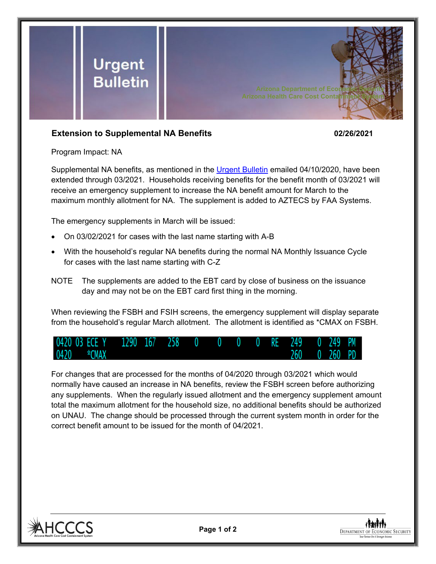

## **Extension to Supplemental NA Benefits 02/26/2021**

Program Impact: NA

Supplemental NA benefits, as mentioned in the [Urgent Bulletin](https://dbmefaapolicy.azdes.gov/FAA5/baggage/Urgent%20Bulletin%20(04-10-2020)%20-%20Supplemental%20Nutrition%20Assistance%20Benefits%20for%20Participants.pdf) emailed 04/10/2020, have been extended through 03/2021. Households receiving benefits for the benefit month of 03/2021 will receive an emergency supplement to increase the NA benefit amount for March to the maximum monthly allotment for NA. The supplement is added to AZTECS by FAA Systems.

The emergency supplements in March will be issued:

- On 03/02/2021 for cases with the last name starting with A-B
- With the household's regular NA benefits during the normal NA Monthly Issuance Cycle for cases with the last name starting with C-Z
- NOTE The supplements are added to the EBT card by close of business on the issuance day and may not be on the EBT card first thing in the morning.

When reviewing the FSBH and FSIH screens, the emergency supplement will display separate from the household's regular March allotment. The allotment is identified as \*CMAX on FSBH.



For changes that are processed for the months of 04/2020 through 03/2021 which would normally have caused an increase in NA benefits, review the FSBH screen before authorizing any supplements. When the regularly issued allotment and the emergency supplement amount total the maximum allotment for the household size, no additional benefits should be authorized on UNAU. The change should be processed through the current system month in order for the correct benefit amount to be issued for the month of 04/2021.